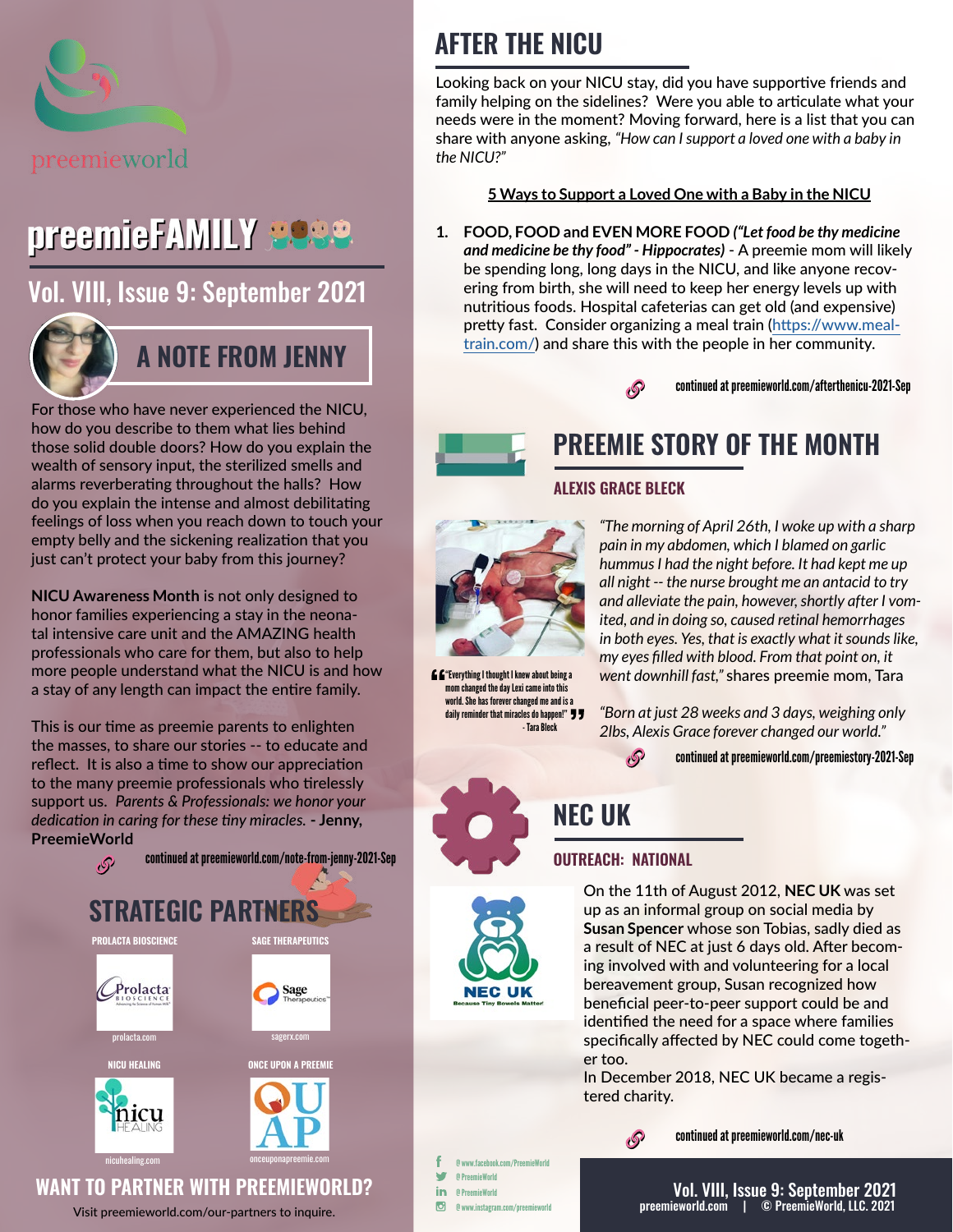

# preemieFAMILY 2080

[Vol. VIII, Issue 9: September 2021](https://preemieworld.com/preemie-family-digital-issues/)



## **A NOTE FROM JENNY**

For those who have never experienced the NICU, how do you describe to them what lies behind those solid double doors? How do you explain the wealth of sensory input, the sterilized smells and alarms reverberating throughout the halls? How do you explain the intense and almost debilitating feelings of loss when you reach down to touch your empty belly and the sickening realization that you just can't protect your baby from this journey?

**NICU Awareness Month** is not only designed to honor families experiencing a stay in the neonatal intensive care unit and the AMAZING health professionals who care for them, but also to help more people understand what the NICU is and how a stay of any length can impact the entire family.

This is our time as preemie parents to enlighten the masses, to share our stories -- to educate and reflect. It is also a time to show our appreciation to the many preemie professionals who tirelessly support us. *Parents & Professionals: we honor your dedication in caring for these tiny miracles.* **- Jenny, PreemieWorld**



Visit [preemieworld.com/our-partners](https://preemieworld.com/our-partners) to inquire.

# **AFTER THE NICU**

Looking back on your NICU stay, did you have supportive friends and family helping on the sidelines? Were you able to articulate what your needs were in the moment? Moving forward, here is a list that you can share with anyone asking, *"How can I support a loved one with a baby in the NICU?"*

## **5 Ways to Support a Loved One with a Baby in the NICU**

**1. FOOD, FOOD and EVEN MORE FOOD** *("Let food be thy medicine and medicine be thy food" - Hippocrates)* - A preemie mom will likely be spending long, long days in the NICU, and like anyone recovering from birth, she will need to keep her energy levels up with nutritious foods. Hospital cafeterias can get old (and expensive) pretty fast. Consider organizing a meal train [\(https://www.meal](https://www.mealtrain.com/)[train.com/\)](https://www.mealtrain.com/) and share this with the people in her community.

> continued a[t preemieworld.com/afterthenicu-2021-](https://preemieworld.com/afterthenicu-2021-Sep)Sep P



# **PREEMIE STORY OF THE MONTH**

### **ALEXIS GRACE BLECK**



**E** E<sup>"</sup>Everything I thought I knew about being a mom changed the day Lexi came into this world. She has forever changed me and is a daily reminder that miracles do happen!"  $\overline{y}$ - Tara Bleck

*"The morning of April 26th, I woke up with a sharp pain in my abdomen, which I blamed on garlic hummus I had the night before. It had kept me up all night -- the nurse brought me an antacid to try and alleviate the pain, however, shortly after I vomited, and in doing so, caused retinal hemorrhages in both eyes. Yes, that is exactly what it sounds like, my eyes filled with blood. From that point on, it went downhill fast,"* shares preemie mom, Tara

*"Born at just 28 weeks and 3 days, weighing only 2lbs, Alexis Grace forever changed our world."*

 $\mathcal{S}$ continued at [preemieworld.com/preemiestory-2021-](https://preemieworld.com/preemiestory-2021-Sep)Sep

**NEC UK**

### **OUTREACH: NATIONAL**



On the 11th of August 2012, **NEC UK** was set up as an informal group on social media by **Susan Spencer** whose son Tobias, sadly died as a result of NEC at just 6 days old. After becoming involved with and volunteering for a local bereavement group, Susan recognized how beneficial peer-to-peer support could be and identified the need for a space where families specifically affected by NEC could come together too.

In December 2018, NEC UK became a registered charity.

ு

continued at [preemieworld.com/n](https://preemieworld.com/nec-uk)ec-uk

@ www.facebook.com/PreemieWorld w @ PreemieWorld in @ PreemieWorld  $\Box$ @ www.instagram.com/preemieworld